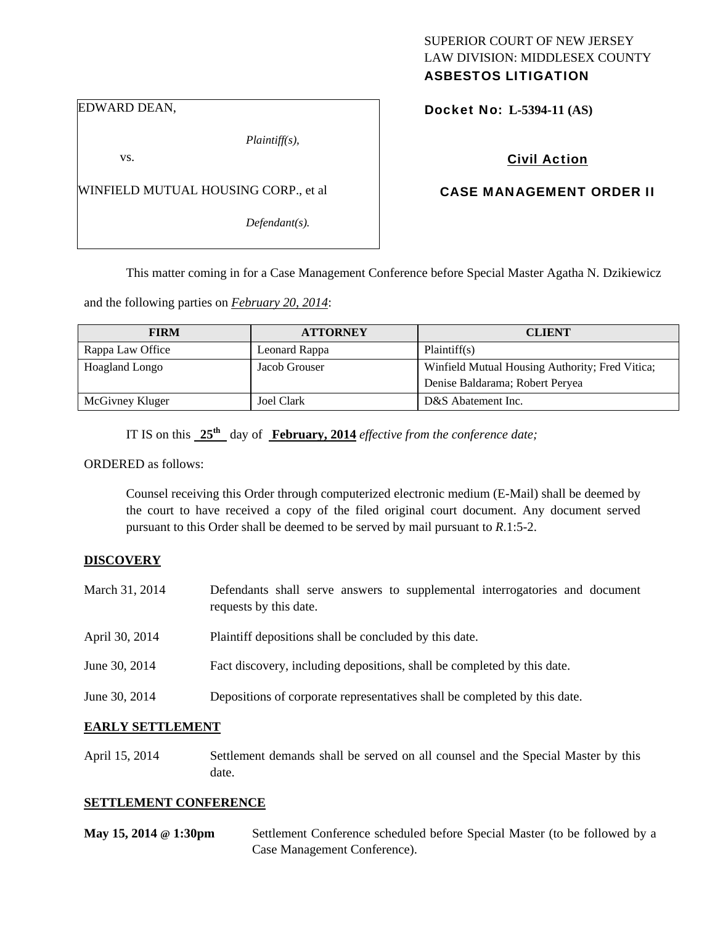## SUPERIOR COURT OF NEW JERSEY LAW DIVISION: MIDDLESEX COUNTY ASBESTOS LITIGATION

EDWARD DEAN,

*Plaintiff(s),* 

vs.

WINFIELD MUTUAL HOUSING CORP., et al

*Defendant(s).* 

Docket No: **L-5394-11 (AS)** 

Civil Action

## CASE MANAGEMENT ORDER II

This matter coming in for a Case Management Conference before Special Master Agatha N. Dzikiewicz

and the following parties on *February 20, 2014*:

| <b>FIRM</b>      | <b>ATTORNEY</b> | <b>CLIENT</b>                                   |
|------------------|-----------------|-------------------------------------------------|
| Rappa Law Office | Leonard Rappa   | Plaintiff(s)                                    |
| Hoagland Longo   | Jacob Grouser   | Winfield Mutual Housing Authority; Fred Vitica; |
|                  |                 | Denise Baldarama; Robert Peryea                 |
| McGivney Kluger  | Joel Clark      | D&S Abatement Inc.                              |

IT IS on this **25th** day of **February, 2014** *effective from the conference date;*

ORDERED as follows:

Counsel receiving this Order through computerized electronic medium (E-Mail) shall be deemed by the court to have received a copy of the filed original court document. Any document served pursuant to this Order shall be deemed to be served by mail pursuant to *R*.1:5-2.

## **DISCOVERY**

- March 31, 2014 Defendants shall serve answers to supplemental interrogatories and document requests by this date.
- April 30, 2014 Plaintiff depositions shall be concluded by this date.
- June 30, 2014 Fact discovery, including depositions, shall be completed by this date.
- June 30, 2014 Depositions of corporate representatives shall be completed by this date.

#### **EARLY SETTLEMENT**

April 15, 2014 Settlement demands shall be served on all counsel and the Special Master by this date.

## **SETTLEMENT CONFERENCE**

| May 15, 2014 @ 1:30pm | Settlement Conference scheduled before Special Master (to be followed by a |
|-----------------------|----------------------------------------------------------------------------|
|                       | Case Management Conference).                                               |